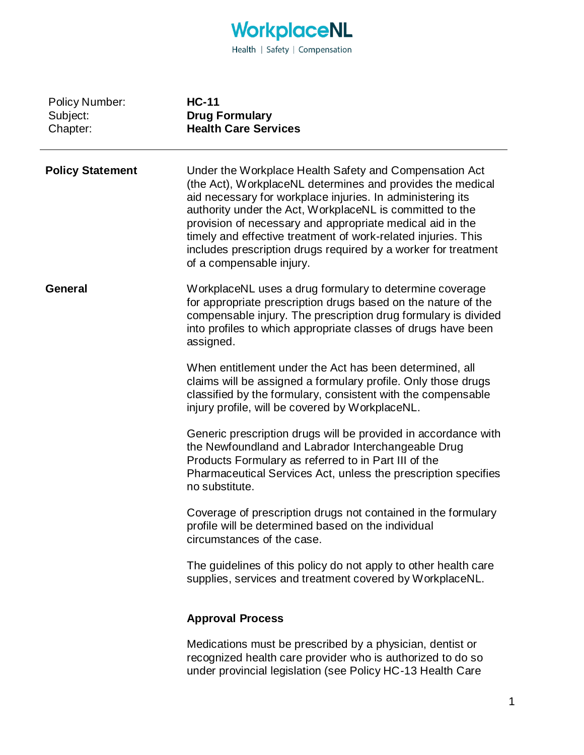

| <b>Policy Number:</b><br>Subject:<br>Chapter: | <b>HC-11</b><br><b>Drug Formulary</b><br><b>Health Care Services</b>                                                                                                                                                                                                                                                                                                                                                                                                       |
|-----------------------------------------------|----------------------------------------------------------------------------------------------------------------------------------------------------------------------------------------------------------------------------------------------------------------------------------------------------------------------------------------------------------------------------------------------------------------------------------------------------------------------------|
| <b>Policy Statement</b>                       | Under the Workplace Health Safety and Compensation Act<br>(the Act), WorkplaceNL determines and provides the medical<br>aid necessary for workplace injuries. In administering its<br>authority under the Act, WorkplaceNL is committed to the<br>provision of necessary and appropriate medical aid in the<br>timely and effective treatment of work-related injuries. This<br>includes prescription drugs required by a worker for treatment<br>of a compensable injury. |
| <b>General</b>                                | WorkplaceNL uses a drug formulary to determine coverage<br>for appropriate prescription drugs based on the nature of the<br>compensable injury. The prescription drug formulary is divided<br>into profiles to which appropriate classes of drugs have been<br>assigned.                                                                                                                                                                                                   |
|                                               | When entitlement under the Act has been determined, all<br>claims will be assigned a formulary profile. Only those drugs<br>classified by the formulary, consistent with the compensable<br>injury profile, will be covered by WorkplaceNL.                                                                                                                                                                                                                                |
|                                               | Generic prescription drugs will be provided in accordance with<br>the Newfoundland and Labrador Interchangeable Drug<br>Products Formulary as referred to in Part III of the<br>Pharmaceutical Services Act, unless the prescription specifies<br>no substitute.                                                                                                                                                                                                           |
|                                               | Coverage of prescription drugs not contained in the formulary<br>profile will be determined based on the individual<br>circumstances of the case.                                                                                                                                                                                                                                                                                                                          |
|                                               | The guidelines of this policy do not apply to other health care<br>supplies, services and treatment covered by WorkplaceNL.                                                                                                                                                                                                                                                                                                                                                |
|                                               | <b>Approval Process</b>                                                                                                                                                                                                                                                                                                                                                                                                                                                    |
|                                               | Medications must be prescribed by a physician, dentist or<br>recognized health care provider who is authorized to do so<br>under provincial legislation (see Policy HC-13 Health Care                                                                                                                                                                                                                                                                                      |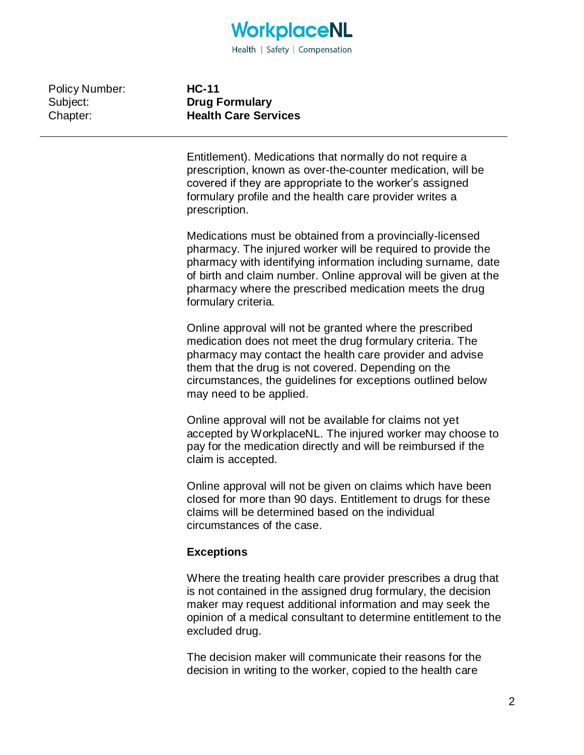

Policy Number: Subject: Chapter:

**HC-11 Drug Formulary Health Care Services**

Entitlement). Medications that normally do not require a prescription, known as over-the-counter medication, will be covered if they are appropriate to the worker's assigned formulary profile and the health care provider writes a prescription.

Medications must be obtained from a provincially-licensed pharmacy. The injured worker will be required to provide the pharmacy with identifying information including surname, date of birth and claim number. Online approval will be given at the pharmacy where the prescribed medication meets the drug formulary criteria.

Online approval will not be granted where the prescribed medication does not meet the drug formulary criteria. The pharmacy may contact the health care provider and advise them that the drug is not covered. Depending on the circumstances, the guidelines for exceptions outlined below may need to be applied.

Online approval will not be available for claims not yet accepted by WorkplaceNL. The injured worker may choose to pay for the medication directly and will be reimbursed if the claim is accepted.

Online approval will not be given on claims which have been closed for more than 90 days. Entitlement to drugs for these claims will be determined based on the individual circumstances of the case.

## **Exceptions**

Where the treating health care provider prescribes a drug that is not contained in the assigned drug formulary, the decision maker may request additional information and may seek the opinion of a medical consultant to determine entitlement to the excluded drug.

The decision maker will communicate their reasons for the decision in writing to the worker, copied to the health care